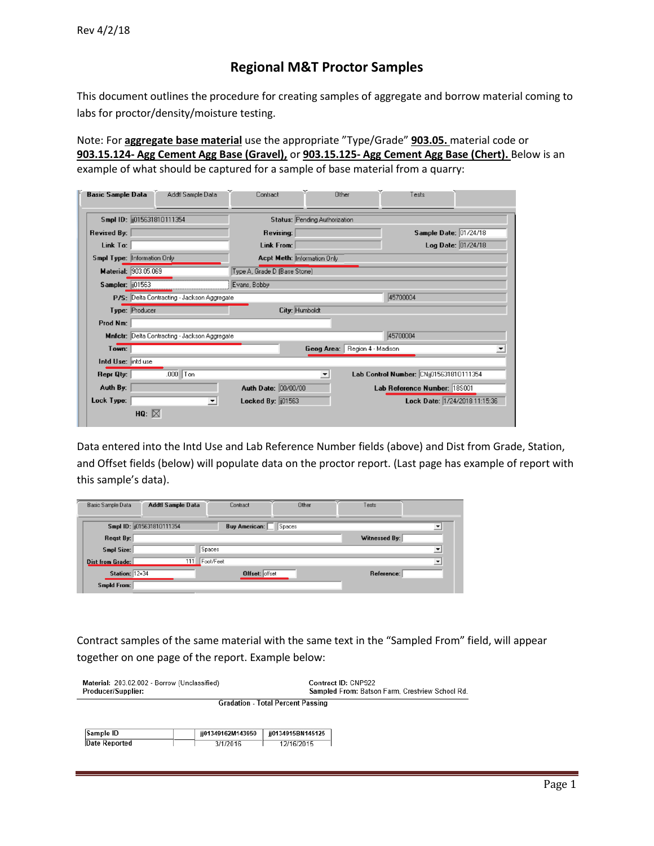# **Regional M&T Proctor Samples**

This document outlines the procedure for creating samples of aggregate and borrow material coming to labs for proctor/density/moisture testing.

Note: For **aggregate base material** use the appropriate "Type/Grade" **903.05.** material code or **903.15.124- Agg Cement Agg Base (Gravel),** or **903.15.125- Agg Cement Agg Base (Chert).** Below is an example of what should be captured for a sample of base material from a quarry:

| <b>Basic Sample Data</b> | Addtl Sample Data                             | Contract                                        | Other                         | Tests                                   |  |
|--------------------------|-----------------------------------------------|-------------------------------------------------|-------------------------------|-----------------------------------------|--|
|                          | Smpl ID: (015631810111354)                    | Status: Pending Authorization                   |                               |                                         |  |
| <b>Revised By:</b>       |                                               | Revising:                                       |                               | Sample Date: 01/24/18                   |  |
| Link To:                 |                                               | Link From:                                      |                               | Log Date: 01/24/18                      |  |
|                          | Smpl Type: Information Only                   | <b>Acpt Meth: Information Only</b>              |                               |                                         |  |
| Material: 903.05.069     |                                               | Type A, Grade D (Base Stone)                    |                               |                                         |  |
| Sampler: [101563]        |                                               | Evans, Bobby                                    |                               |                                         |  |
|                          | P/S: Delta Contracting - Jackson Aggregate    |                                                 |                               | 45700004                                |  |
|                          | Type: Producer                                | City: Humboldt                                  |                               |                                         |  |
| Prod Nm:                 |                                               |                                                 |                               |                                         |  |
|                          | Mnfctr: Delta Contracting - Jackson Aggregate |                                                 |                               | 45700004                                |  |
| Town:                    |                                               |                                                 | Geog Area: Region 4 - Madison |                                         |  |
| Intd Use: intd use       |                                               |                                                 |                               |                                         |  |
| Repr Qty:                | $.000$ Ton                                    |                                                 | $\blacktriangledown$          | Lab Control Number: CNij015631810111354 |  |
| Auth By:                 |                                               | Auth Date: 00/00/00                             |                               | Lab Reference Number: 185001            |  |
| Lock Type:               |                                               | Locked By: [101563]<br>$\overline{\phantom{0}}$ |                               | Lock Date: 1/24/2018 11:15:36           |  |
|                          | HQ: $\boxtimes$                               |                                                 |                               |                                         |  |

Data entered into the Intd Use and Lab Reference Number fields (above) and Dist from Grade, Station, and Offset fields (below) will populate data on the proctor report. (Last page has example of report with this sample's data).

| Basic Sample Data     | Addtl Sample Data        | Contract              | Other  | Tests         |                          |
|-----------------------|--------------------------|-----------------------|--------|---------------|--------------------------|
|                       | Smpl ID: 015631810111354 | Buy American:         | Spaces |               |                          |
| Regst By:             |                          |                       |        | Witnessed By: |                          |
| Smpl Size:            |                          | Spaces                |        |               | 츠                        |
| Dist from Grade:      | 111                      | Foot/Feet             |        |               | $\overline{\phantom{a}}$ |
| <b>Station: 12+34</b> |                          | <b>Offset: offset</b> |        | Reference:    |                          |
| <b>Smpld From:</b>    |                          |                       |        |               |                          |

Contract samples of the same material with the same text in the "Sampled From" field, will appear together on one page of the report. Example below:

| Material: 203.02.002 - Borrow (Unclassified)<br>Producer/Supplier: |                   | Contract ID: CNP922<br>Sampled From: Batson Farm, Crestview School Rd. |  |  |
|--------------------------------------------------------------------|-------------------|------------------------------------------------------------------------|--|--|
|                                                                    |                   | <b>Gradation - Total Percent Passing</b>                               |  |  |
|                                                                    |                   |                                                                        |  |  |
| Sample ID                                                          | ii01349162M143950 | ii0134915BN145125                                                      |  |  |
| <b>Date Reported</b>                                               | 3/1/2016          | 12/16/2015                                                             |  |  |
|                                                                    |                   |                                                                        |  |  |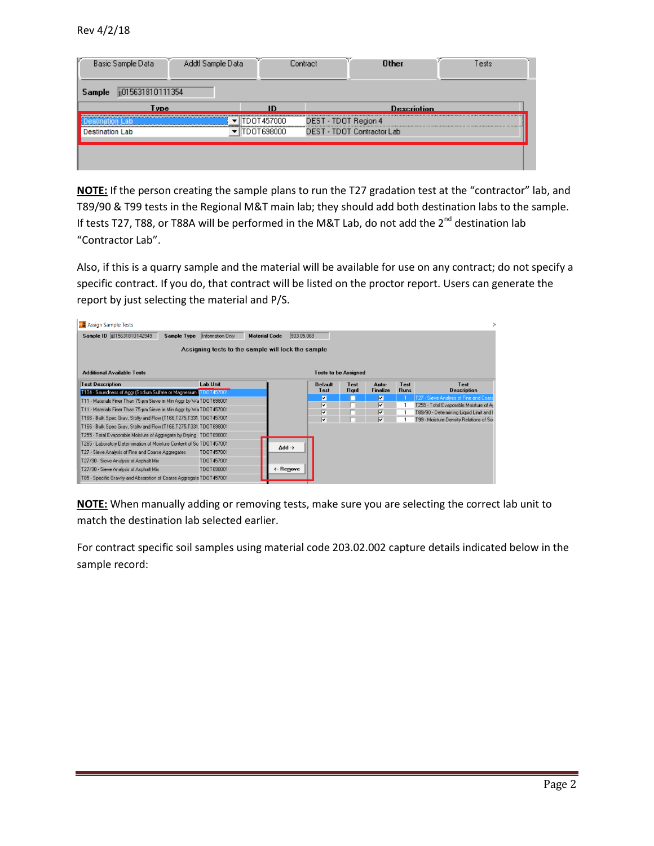| Basic Sample Data           | Addtl Sample Data |            | Contract             | <b>Other</b>               | Tests |
|-----------------------------|-------------------|------------|----------------------|----------------------------|-------|
| ji015631810111354<br>Sample |                   |            |                      |                            |       |
| Tvne                        |                   |            |                      | <b>Description</b>         |       |
|                             |                   | DOT457000  | DEST - TDOT Region 4 |                            |       |
| stination Lab               |                   | TDOT698000 |                      | DEST - TDOT Contractor Lab |       |
|                             |                   |            |                      |                            |       |
|                             |                   |            |                      |                            |       |
|                             |                   |            |                      |                            |       |

**NOTE:** If the person creating the sample plans to run the T27 gradation test at the "contractor" lab, and T89/90 & T99 tests in the Regional M&T main lab; they should add both destination labs to the sample. If tests T27, T88, or T88A will be performed in the M&T Lab, do not add the  $2^{nd}$  destination lab "Contractor Lab".

Also, if this is a quarry sample and the material will be available for use on any contract; do not specify a specific contract. If you do, that contract will be listed on the proctor report. Users can generate the report by just selecting the material and P/S.

| <b>Prå</b> Assign Sample Tests                                        |                                                    |                      |            |                              |             |          |             |                                                                                   |
|-----------------------------------------------------------------------|----------------------------------------------------|----------------------|------------|------------------------------|-------------|----------|-------------|-----------------------------------------------------------------------------------|
| Sample ID (1015631810142949)<br>Sample Type                           | Information Only                                   | <b>Material Code</b> | 903.05.069 |                              |             |          |             |                                                                                   |
|                                                                       | Assigning tests to the sample will lock the sample |                      |            |                              |             |          |             |                                                                                   |
| <b>Additional Available Tests</b>                                     |                                                    |                      |            | <b>Tests to be Assigned</b>  |             |          |             |                                                                                   |
| <b>Test Description</b>                                               | <b>Lab Unit</b>                                    |                      |            | <b>Default</b>               | Test        | Auto-    | Test        | Test                                                                              |
| T104 - Soundness of Aggr (Sodium Sulfate or Magnesium 1TDOT 457001)   |                                                    |                      |            | Test                         | <b>Rard</b> | Finalize | <b>Runs</b> | <b>Description</b>                                                                |
| T11 - Materials Finer Than 75-um Sieve in Min Aggr by Wa TDOT698001   |                                                    |                      |            | $\overline{\mathbf{v}}$<br>⊽ |             | ⊽<br>⊽   |             | T27 - Sieve Analysis of Fine and Coars                                            |
| T11 - Materials Finer Than 75-um Sieve in Min Aggr by Wa TDOT 457001  |                                                    |                      |            | ⊽                            |             | ⊽        |             | T255 - Total Evaporable Moisture of Ar<br>T89/90 - Determining Liquid Limit and F |
| T166 - Bulk Spec Grav, Stblty and Flow (T166,T275,T331, TDOT457001    |                                                    |                      |            | ⊽                            |             | ⊽        |             | T99 - Moisture-Density Relations of Soi                                           |
| T166 - Bulk Spec Grav, Stblty and Flow (T166,T275,T331, TDOT698001    |                                                    |                      |            |                              |             |          |             |                                                                                   |
| T255 - Total Evaporable Moisture of Aggregate by Drying TDOT698001    |                                                    |                      |            |                              |             |          |             |                                                                                   |
| T265 - Laboratory Determination of Moisture Content of So TDOT457001  |                                                    |                      |            |                              |             |          |             |                                                                                   |
| T27 - Sieve Analysis of Fine and Coarse Aggregates                    | TD0T457001                                         | Add $\rightarrow$    |            |                              |             |          |             |                                                                                   |
| T27/30 - Sieve Analysis of Asphalt Mix                                | TD0T457001                                         |                      |            |                              |             |          |             |                                                                                   |
| T27/30 - Sieve Analysis of Asphalt Mix                                | TD0T698001                                         | <- Remove            |            |                              |             |          |             |                                                                                   |
| T85 - Specific Gravity and Absorption of Coarse Aggregate TDOT 457001 |                                                    |                      |            |                              |             |          |             |                                                                                   |

**NOTE:** When manually adding or removing tests, make sure you are selecting the correct lab unit to match the destination lab selected earlier.

For contract specific soil samples using material code 203.02.002 capture details indicated below in the sample record: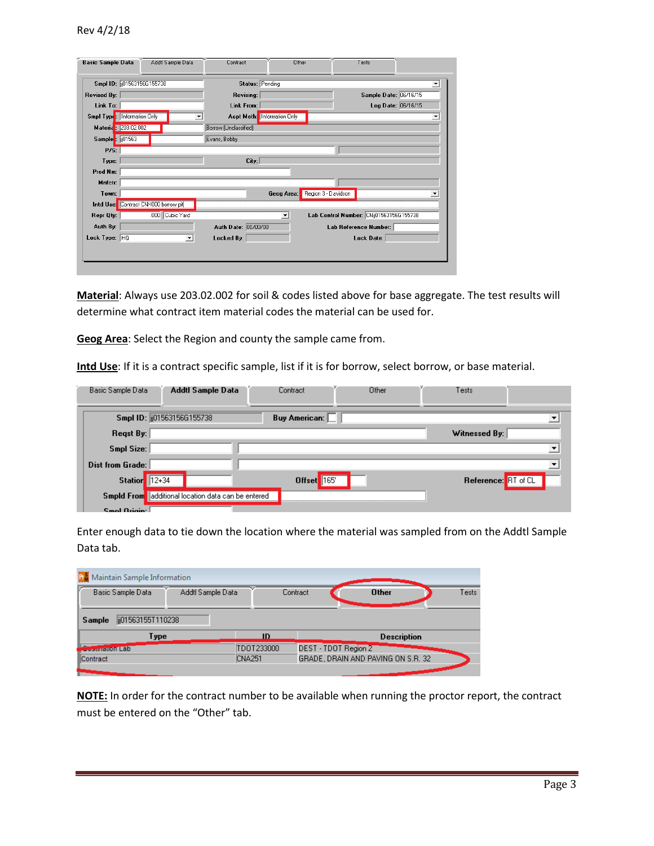| Smpl ID: (01563156G155738)<br>Status: Pending<br>Sample Date: 06/16/15<br><b>Revised By:</b><br>Revising:<br>Log Date: 06/16/15<br>Link To:<br>Link From:<br>Smpl Type: Information Only<br><b>Acpt Meth:</b> Information Only<br>Materia: 203.02.002<br>Borrow (Unclassified)<br>Sample: 01563<br>Evans, Bobby<br>P/S:<br>City:<br>Type:<br>Prod Nm:<br>Mnfctr:<br>Region 3 - Davidson<br>Town:<br>Geog Area:<br>Intd Use: Contract CNX000 borrow pit<br>.000 Cubic Yard<br>Lab Control Number: CNij01563156G155738<br>Repr Qty:<br>۰<br>Auth By:<br>Auth Date: 00/00/00<br>Lab Reference Number:<br>Lock Type: HQ<br>Locked By:<br>Lock Date:<br>$\blacktriangledown$ | <b>Basic Sample Data</b> | Addtl Sample Data | Contract | Other | Tests |   |
|-------------------------------------------------------------------------------------------------------------------------------------------------------------------------------------------------------------------------------------------------------------------------------------------------------------------------------------------------------------------------------------------------------------------------------------------------------------------------------------------------------------------------------------------------------------------------------------------------------------------------------------------------------------------------|--------------------------|-------------------|----------|-------|-------|---|
|                                                                                                                                                                                                                                                                                                                                                                                                                                                                                                                                                                                                                                                                         |                          |                   |          |       |       | ۰ |
|                                                                                                                                                                                                                                                                                                                                                                                                                                                                                                                                                                                                                                                                         |                          |                   |          |       |       |   |
|                                                                                                                                                                                                                                                                                                                                                                                                                                                                                                                                                                                                                                                                         |                          |                   |          |       |       |   |
|                                                                                                                                                                                                                                                                                                                                                                                                                                                                                                                                                                                                                                                                         |                          |                   |          |       |       | ▼ |
|                                                                                                                                                                                                                                                                                                                                                                                                                                                                                                                                                                                                                                                                         |                          |                   |          |       |       |   |
|                                                                                                                                                                                                                                                                                                                                                                                                                                                                                                                                                                                                                                                                         |                          |                   |          |       |       |   |
|                                                                                                                                                                                                                                                                                                                                                                                                                                                                                                                                                                                                                                                                         |                          |                   |          |       |       |   |
|                                                                                                                                                                                                                                                                                                                                                                                                                                                                                                                                                                                                                                                                         |                          |                   |          |       |       |   |
|                                                                                                                                                                                                                                                                                                                                                                                                                                                                                                                                                                                                                                                                         |                          |                   |          |       |       |   |
|                                                                                                                                                                                                                                                                                                                                                                                                                                                                                                                                                                                                                                                                         |                          |                   |          |       |       |   |
|                                                                                                                                                                                                                                                                                                                                                                                                                                                                                                                                                                                                                                                                         |                          |                   |          |       |       |   |
|                                                                                                                                                                                                                                                                                                                                                                                                                                                                                                                                                                                                                                                                         |                          |                   |          |       |       |   |
|                                                                                                                                                                                                                                                                                                                                                                                                                                                                                                                                                                                                                                                                         |                          |                   |          |       |       |   |
|                                                                                                                                                                                                                                                                                                                                                                                                                                                                                                                                                                                                                                                                         |                          |                   |          |       |       |   |
|                                                                                                                                                                                                                                                                                                                                                                                                                                                                                                                                                                                                                                                                         |                          |                   |          |       |       |   |
|                                                                                                                                                                                                                                                                                                                                                                                                                                                                                                                                                                                                                                                                         |                          |                   |          |       |       |   |
|                                                                                                                                                                                                                                                                                                                                                                                                                                                                                                                                                                                                                                                                         |                          |                   |          |       |       |   |

**Material**: Always use 203.02.002 for soil & codes listed above for base aggregate. The test results will determine what contract item material codes the material can be used for.

**Geog Area**: Select the Region and county the sample came from.

**Intd Use**: If it is a contract specific sample, list if it is for borrow, select borrow, or base material.

| Basic Sample Data    | Addtl Sample Data                       | Contract             | Other | Tests               |  |
|----------------------|-----------------------------------------|----------------------|-------|---------------------|--|
|                      | Smpl ID: (i01563156G155738)             | <b>Buy American:</b> |       |                     |  |
| Regst By:            |                                         |                      |       | Witnessed By:       |  |
| Smpl Size:           |                                         |                      |       |                     |  |
| Dist from Grade:     |                                         |                      |       |                     |  |
| <b>Station</b> 12+34 |                                         | Offset 165           |       | Reference: RT of CL |  |
| <b>Smpld From</b>    | additional location data can be entered |                      |       |                     |  |
| Smol Origin:         |                                         |                      |       |                     |  |

Enter enough data to tie down the location where the material was sampled from on the Addtl Sample Data tab.

| <b>R</b> <sup>8</sup> Maintain Sample Information |                   |                    |                                    |                       |
|---------------------------------------------------|-------------------|--------------------|------------------------------------|-----------------------|
| Basic Sample Data                                 | Addtl Sample Data | Contract           |                                    | <b>Other</b><br>Tests |
| ii01563155T110238<br>Sample                       |                   |                    |                                    |                       |
| Туре                                              |                   | ID                 |                                    | <b>Description</b>    |
| <b>Exposurement Lab</b>                           |                   | TD0T233000         | DEST - TDOT Region 2               |                       |
| Contract                                          |                   | CNA <sub>251</sub> | GRADE, DRAIN AND PAVING ON S.R. 32 |                       |
|                                                   |                   |                    |                                    |                       |

**NOTE:** In order for the contract number to be available when running the proctor report, the contract must be entered on the "Other" tab.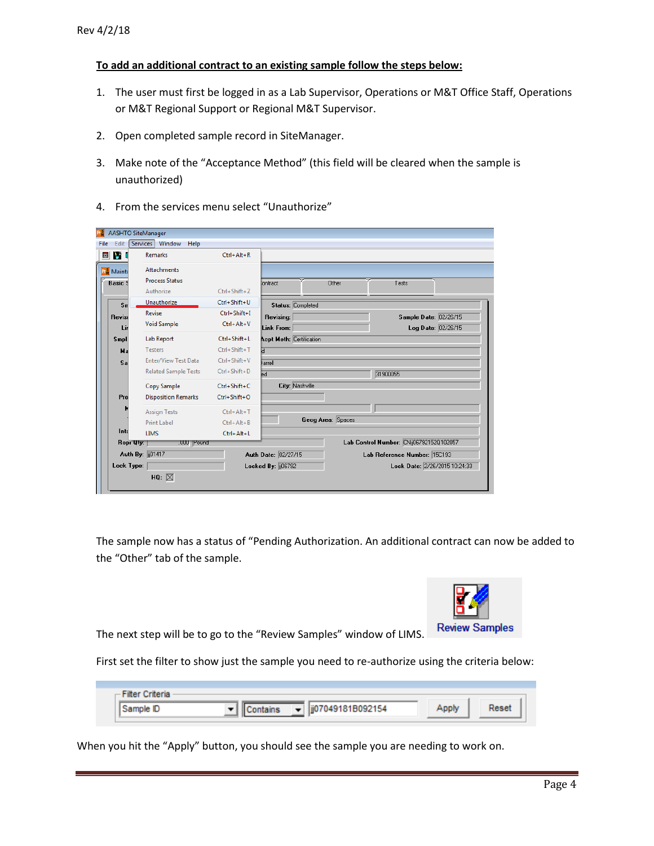## **To add an additional contract to an existing sample follow the steps below:**

- 1. The user must first be logged in as a Lab Supervisor, Operations or M&T Office Staff, Operations or M&T Regional Support or Regional M&T Supervisor.
- 2. Open completed sample record in SiteManager.
- 3. Make note of the "Acceptance Method" (this field will be cleared when the sample is unauthorized)
- 4. From the services menu select "Unauthorize"

| 画的               | <b>Remarks</b>              | $Ctrl + Alt + R$   |                                 |                   |                                         |  |
|------------------|-----------------------------|--------------------|---------------------------------|-------------------|-----------------------------------------|--|
| <b>P.</b> Mainta | <b>Attachments</b>          |                    |                                 |                   |                                         |  |
| <b>Basic</b> 9   | <b>Process Status</b>       |                    | Iontract                        | Other             | Tests                                   |  |
|                  | Authorize                   | Ctrl+Shift+Z       |                                 |                   |                                         |  |
| $S_{\text{II}}$  | Unauthorize                 | Ctrl+Shift+U       | Status: Completed               |                   |                                         |  |
| <b>Revise</b>    | Revise                      | Ctrl+Shift+I       | Revising:                       |                   | Sample Date: 02/26/15                   |  |
| Lir              | <b>Void Sample</b>          | Ctrl+Alt+V         | Link From:                      |                   | Log Date: 02/26/15                      |  |
| Smpl             | Lab Report                  | Ctrl+Shift+L       | <b>Acpt Meth: Certification</b> |                   |                                         |  |
| Ma               | <b>Testers</b>              | Ctrl+Shift+T       | Ы                               |                   |                                         |  |
| Sa               | <b>Enter/View Test Data</b> | $Ctrl + Shift + V$ | larrell                         |                   |                                         |  |
|                  | <b>Related Sample Tests</b> | Ctrl+Shift+D       | ed                              |                   | 31900055                                |  |
|                  | Copy Sample                 | Ctrl+Shift+C       | City: Nashville                 |                   |                                         |  |
| Pro              | <b>Disposition Remarks</b>  | Ctrl+Shift+O       |                                 |                   |                                         |  |
|                  | <b>Assign Tests</b>         | Ctrl+Alt+T         |                                 |                   |                                         |  |
|                  | Print Label                 | $Ctrl + Alt + B$   |                                 | Geog Area: Spaces |                                         |  |
| Into             | <b>LIMS</b>                 | Ctrl+Alt+L         |                                 |                   |                                         |  |
| Repr Uty:        | .UUU Pound                  |                    |                                 |                   | Lab Control Number: CNij06792152Q102057 |  |
|                  | Auth By: [101417]           |                    | Auth Date: 02/27/15             |                   | Lab Reference Number: 15C193            |  |
| Lock Type:       |                             |                    | Locked By: [06792]              |                   | Lock Date: 2/26/2015 10:24:33           |  |

The sample now has a status of "Pending Authorization. An additional contract can now be added to the "Other" tab of the sample.



The next step will be to go to the "Review Samples" window of LIMS.

First set the filter to show just the sample you need to re-authorize using the criteria below:

| riteria<br>$\blacksquare$ |                                               |            |  |
|---------------------------|-----------------------------------------------|------------|--|
|                           | jj07049181B092154<br>$\overline{\phantom{a}}$ | <b>nnh</b> |  |

When you hit the "Apply" button, you should see the sample you are needing to work on.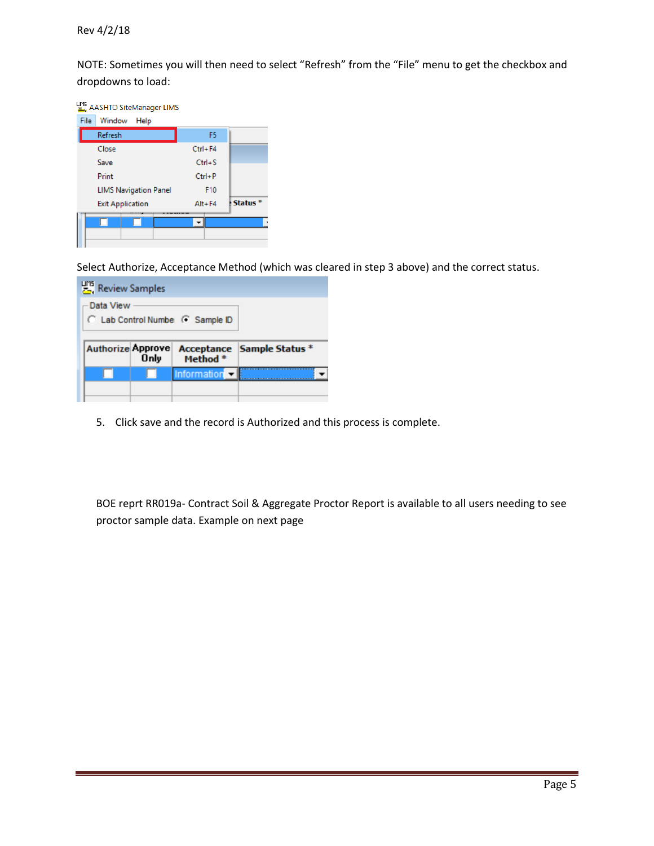NOTE: Sometimes you will then need to select "Refresh" from the "File" menu to get the checkbox and dropdowns to load:

|             | AASHTO SiteManager LIMS      |                 |                     |
|-------------|------------------------------|-----------------|---------------------|
| <b>File</b> | Window<br>Help               |                 |                     |
|             | Refresh                      | F <sub>5</sub>  |                     |
|             | Close                        | $Ctrl + F4$     |                     |
|             | Save                         | $Ctrl + S$      |                     |
|             | Print                        | $Ctrl + P$      |                     |
|             | <b>LIMS Navigation Panel</b> | F <sub>10</sub> |                     |
|             | <b>Exit Application</b>      | $Alt + F4$      | Status <sup>*</sup> |
|             |                              |                 |                     |
|             |                              |                 |                     |
|             |                              |                 |                     |

Select Authorize, Acceptance Method (which was cleared in step 3 above) and the correct status.

| <b>Pris</b> Review Samples |      |                                  |                                   |
|----------------------------|------|----------------------------------|-----------------------------------|
| Data View                  |      | C Lab Control Number G Sample ID |                                   |
|                            |      |                                  |                                   |
| <b>Authorize Approve</b>   | Only | Method <sup>*</sup>              | <b>Acceptance Sample Status *</b> |
|                            |      | Information <sup></sup>          |                                   |

5. Click save and the record is Authorized and this process is complete.

BOE reprt RR019a- Contract Soil & Aggregate Proctor Report is available to all users needing to see proctor sample data. Example on next page